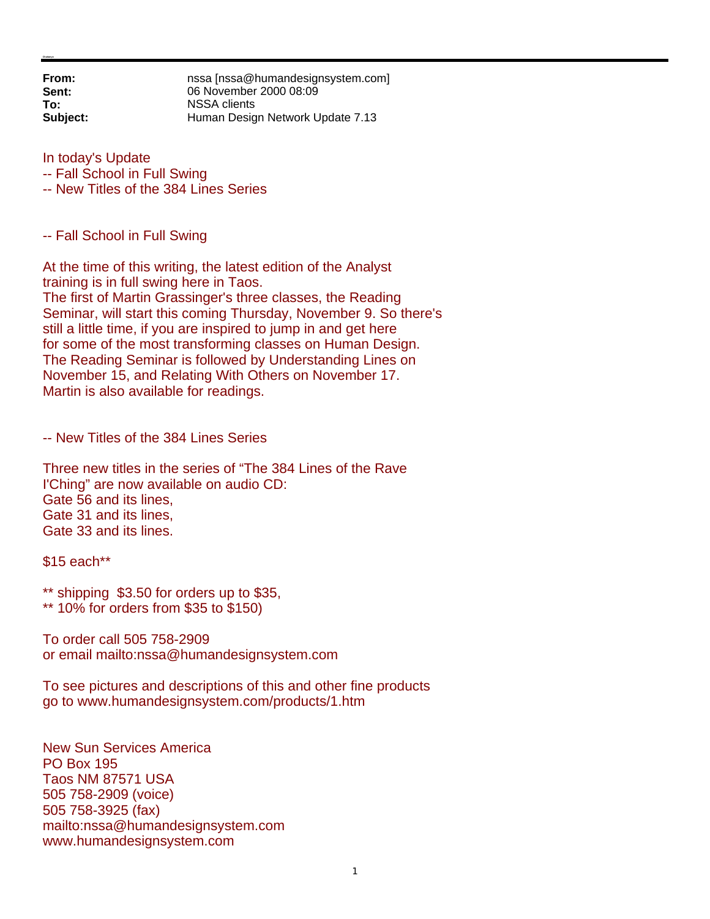**From: nssa** [nssa@humandesignsystem.com]<br> **Sent:** 06 November 2000 08:09 **Sent:** 06 November 2000 08:09 **To:** NSSA clients **Subject:** Human Design Network Update 7.13

In today's Update

-- Fall School in Full Swing

-- New Titles of the 384 Lines Series

-- Fall School in Full Swing

At the time of this writing, the latest edition of the Analyst training is in full swing here in Taos. The first of Martin Grassinger's three classes, the Reading Seminar, will start this coming Thursday, November 9. So there's still a little time, if you are inspired to jump in and get here for some of the most transforming classes on Human Design. The Reading Seminar is followed by Understanding Lines on November 15, and Relating With Others on November 17. Martin is also available for readings.

-- New Titles of the 384 Lines Series

Three new titles in the series of "The 384 Lines of the Rave I'Ching" are now available on audio CD: Gate 56 and its lines, Gate 31 and its lines, Gate 33 and its lines.

\$15 each\*\*

\*\* shipping \$3.50 for orders up to \$35, \*\* 10% for orders from \$35 to \$150)

To order call 505 758-2909 or email mailto:nssa@humandesignsystem.com

To see pictures and descriptions of this and other fine products go to www.humandesignsystem.com/products/1.htm

New Sun Services America PO Box 195 Taos NM 87571 USA 505 758-2909 (voice) 505 758-3925 (fax) mailto:nssa@humandesignsystem.com www.humandesignsystem.com